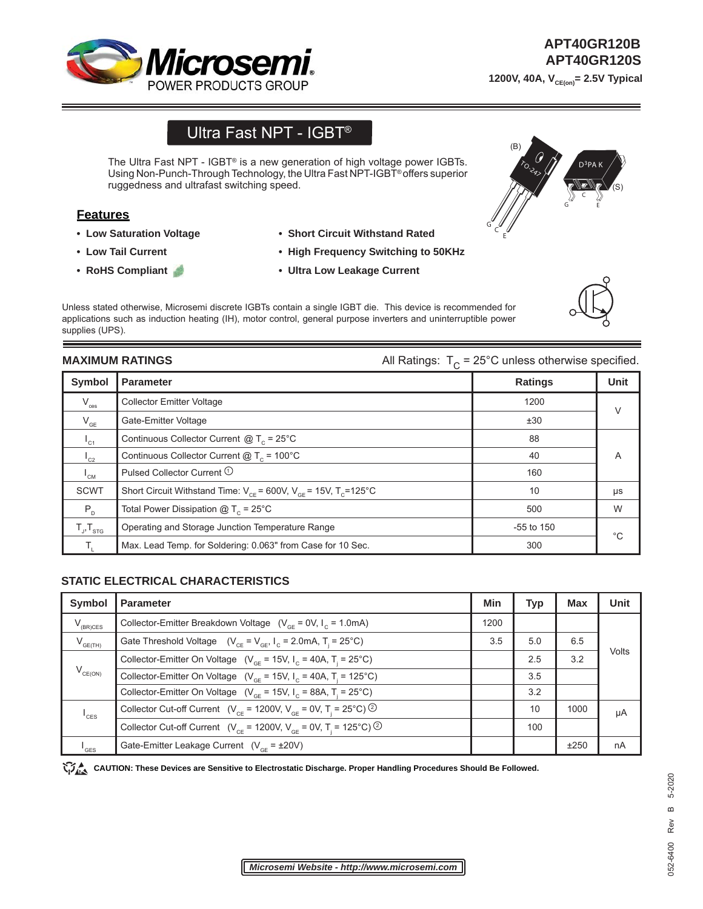

# Ultra Fast NPT - IGBT®

The Ultra Fast NPT - IGBT® is a new generation of high voltage power IGBTs. Using Non-Punch-Through Technology, the Ultra Fast NPT-IGBT® offers superior ruggedness and ultrafast switching speed.

# **Features**

- **Low Saturation Voltage**
- **Low Tail Current**
- **RoHS Compliant**
- **Short Circuit Withstand Rated**
- **High Frequency Switching to 50KHz**
- **Ultra Low Leakage Current**

Unless stated otherwise, Microsemi discrete IGBTs contain a single IGBT die. This device is recommended for applications such as induction heating (IH), motor control, general purpose inverters and uninterruptible power supplies (UPS).

**MAXIMUM RATINGS MAXIMUM RATINGS All Ratings:**  $T_c = 25^{\circ}$ C unless otherwise specified.

| Symbol                     | <b>Parameter</b>                                                               | <b>Ratings</b> | <b>Unit</b> |
|----------------------------|--------------------------------------------------------------------------------|----------------|-------------|
| $\rm V_{\rm ces}$          | <b>Collector Emitter Voltage</b>                                               | 1200           | $\vee$      |
| $V_{GE}$                   | Gate-Emitter Voltage                                                           | ±30            |             |
| $I_{C1}$                   | Continuous Collector Current $@T_c = 25^{\circ}C$                              | 88             |             |
| $L_{C2}$                   | Continuous Collector Current $@T_c = 100°C$                                    | 40             | A           |
| $\mathsf{I}_{\mathsf{CM}}$ | Pulsed Collector Current <sup>1</sup>                                          | 160            |             |
| <b>SCWT</b>                | Short Circuit Withstand Time: $V_{CF}$ = 600V, $V_{GF}$ = 15V, $T_{C}$ = 125°C | 10             | μs          |
| $P_{D}$                    | Total Power Dissipation $@T_c = 25°C$                                          | 500            | W           |
| $T_{J}$ , $T_{STG}$        | Operating and Storage Junction Temperature Range                               | $-55$ to 150   | °C          |
|                            | Max. Lead Temp. for Soldering: 0.063" from Case for 10 Sec.                    | 300            |             |

#### **STATIC ELECTRICAL CHARACTERISTICS**

| Symbol              | <b>Parameter</b>                                                                                    | <b>Min</b> | <b>Typ</b> | <b>Max</b> | <b>Unit</b> |
|---------------------|-----------------------------------------------------------------------------------------------------|------------|------------|------------|-------------|
| $V_{(BR)CES}$       | Collector-Emitter Breakdown Voltage $(V_{GF} = 0V, I_{C} = 1.0mA)$                                  | 1200       |            |            |             |
| $V_{GE(TH)}$        | Gate Threshold Voltage $(V_{CF} = V_{GF}, I_C = 2.0 \text{mA}, T = 25^{\circ}\text{C})$             | 3.5        | 5.0        | 6.5        | Volts       |
| $V_{CE(ON)}$        | Collector-Emitter On Voltage ( $V_{\text{ce}}$ = 15V, $I_{\text{c}}$ = 40A, T <sub>i</sub> = 25°C)  |            | 2.5        | 3.2        |             |
|                     | Collector-Emitter On Voltage ( $V_{\text{CF}}$ = 15V, $I_{\text{C}}$ = 40A, T <sub>i</sub> = 125°C) |            | 3.5        |            |             |
|                     | Collector-Emitter On Voltage ( $V_{GF}$ = 15V, I <sub>c</sub> = 88A, T <sub>i</sub> = 25°C)         |            | 3.2        |            |             |
| $^{\mathsf{I}}$ CES | Collector Cut-off Current ( $V_{CF}$ = 1200V, $V_{CF}$ = 0V, T <sub>i</sub> = 25°C) <sup>②</sup>    |            | 10         | 1000       | μA          |
|                     | Collector Cut-off Current ( $V_{CF}$ = 1200V, $V_{GF}$ = 0V, T <sub>i</sub> = 125°C) <sup>②</sup>   |            | 100        |            |             |
| $I_{\text{GES}}$    | Gate-Emitter Leakage Current $(V_{CF} = \pm 20V)$                                                   |            |            | ±250       | nA          |

CAUTION: These Devices are Sensitive to Electrostatic Discharge. Proper Handling Procedures Should Be Followed.





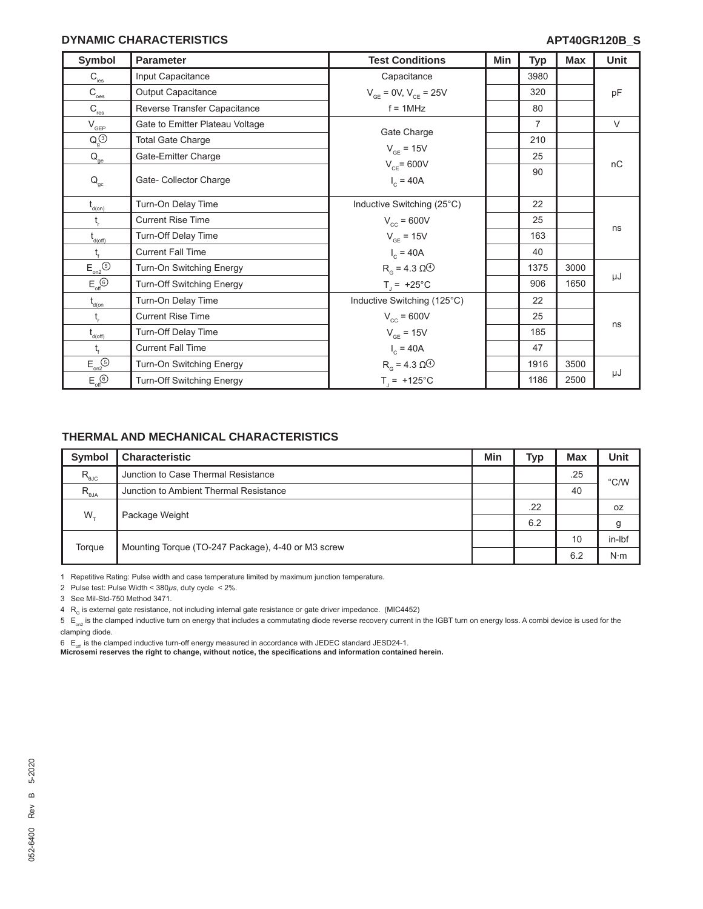### **DYNAMIC CHARACTERISTICS**

| Symbol                                                        | <b>Parameter</b>                | <b>Test Conditions</b>           | Min | <b>Typ</b>     | <b>Max</b> | Unit   |
|---------------------------------------------------------------|---------------------------------|----------------------------------|-----|----------------|------------|--------|
| $\mathsf{C}_{\textsf{\tiny \textsf{ies}}}$                    | Input Capacitance               | Capacitance                      |     | 3980           |            |        |
| $C_{\rm {oes}}$                                               | Output Capacitance              | $V_{CF} = 0V, V_{CE} = 25V$      |     | 320            |            | pF     |
| $\mathsf{C}_{\sf res}$                                        | Reverse Transfer Capacitance    | $f = 1$ MHz                      |     | 80             |            |        |
| $\mathsf{V}_{\mathsf{GEP}}$                                   | Gate to Emitter Plateau Voltage |                                  |     | $\overline{7}$ |            | $\vee$ |
| $Q_g^{(3)}$                                                   | <b>Total Gate Charge</b>        | Gate Charge                      |     | 210            |            |        |
| $\mathsf{Q}_\mathsf{ge}$                                      | Gate-Emitter Charge             | $V_{GF} = 15V$                   |     | 25             |            |        |
| $\mathsf{Q}_{\mathrm{gc}}$                                    | Gate- Collector Charge          | $V_{CF}$ = 600V<br>$I_c = 40A$   |     | 90             |            | nC     |
| $t_{\text{\tiny{d(0n)}}}$                                     | Turn-On Delay Time              | Inductive Switching (25°C)       |     | 22             |            |        |
| $\mathfrak{t}_{\sf r}$                                        | <b>Current Rise Time</b>        | $V_{cc}$ = 600V                  |     | 25             |            |        |
| $t_{d(off)}$                                                  | Turn-Off Delay Time             | $V_{GE}$ = 15V                   |     | 163            |            | ns     |
|                                                               | <b>Current Fall Time</b>        | $I_c = 40A$                      |     | 40             |            |        |
| $\mathsf{E}_{\mathsf{on2}}^{\mathsf{}}\mathsf{S}\mathsf{D}$   | Turn-On Switching Energy        | $Rg = 4.3 \Omega4$               |     | 1375           | 3000       |        |
| $E_{\text{off}}$                                              | Turn-Off Switching Energy       | $T_1 = +25^{\circ}C$             |     | 906            | 1650       | μJ     |
| $t_{\text{d}(on)}$                                            | Turn-On Delay Time              | Inductive Switching (125°C)      |     | 22             |            |        |
| $t_{\rm r}$                                                   | <b>Current Rise Time</b>        | $V_{cc}$ = 600V                  |     | 25             |            |        |
| $\mathfrak{t}_{\scriptscriptstyle{\mathsf{d}(\mathsf{off})}}$ | Turn-Off Delay Time             | $V_{GE}$ = 15V                   |     | 185            |            | ns     |
|                                                               | <b>Current Fall Time</b>        | $I_c = 40A$                      |     | 47             |            |        |
| $\mathsf{E}_{\mathsf{on2}}^{\mathsf{S}}$                      | Turn-On Switching Energy        | $RG$ = 4.3 $\Omega$ <sup>4</sup> |     | 1916           | 3500       |        |
| $E_{\text{off}}$                                              | Turn-Off Switching Energy       | $T_1 = +125^{\circ}C$            |     | 1186           | 2500       | μJ     |

# **THERMAL AND MECHANICAL CHARACTERISTICS**

| <b>Symbol</b>    | <b>Characteristic</b>                              | Min | <b>Typ</b> | <b>Max</b> | <b>Unit</b>   |
|------------------|----------------------------------------------------|-----|------------|------------|---------------|
| $R_{\text{euc}}$ | Junction to Case Thermal Resistance                |     |            | .25        | $\degree$ C/W |
| $R_{\theta JA}$  | Junction to Ambient Thermal Resistance             |     |            | 40         |               |
| $W_{\tau}$       | Package Weight                                     |     | .22        |            | 0Z            |
|                  |                                                    |     | 6.2        |            | g             |
| Torque           | Mounting Torque (TO-247 Package), 4-40 or M3 screw |     |            | 10         | in-Ibf        |
|                  |                                                    |     |            | 6.2        | $N \cdot m$   |

1 Repetitive Rating: Pulse width and case temperature limited by maximum junction temperature.

2 Pulse test: Pulse Width < 380*μs*, duty cycle < 2%.

3 See Mil-Std-750 Method 3471.

 $4 \ R_{\rm g}$  is external gate resistance, not including internal gate resistance or gate driver impedance. (MIC4452)

 $5 E_{\text{no}}$  is the clamped inductive turn on energy that includes a commutating diode reverse recovery current in the IGBT turn on energy loss. A combi device is used for the clamping diode.

6 E<sub>at</sub> is the clamped inductive turn-off energy measured in accordance with JEDEC standard JESD24-1.<br>**Microsemi reserves the right to change, without notice, the specifications and information contained herein.**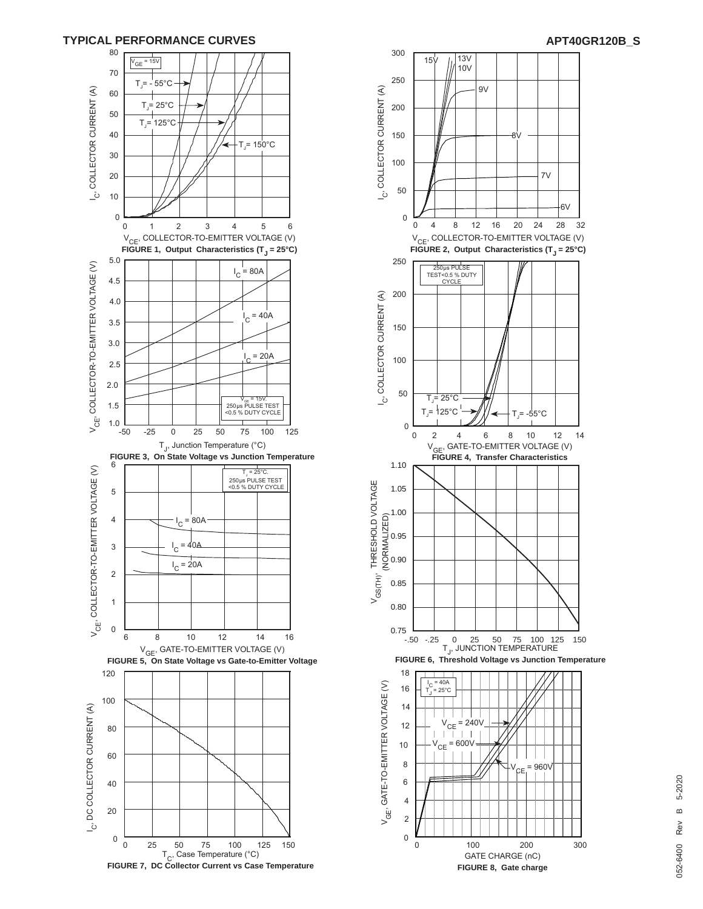



**FIGURE 7, DC Collector Current vs Case Temperature**

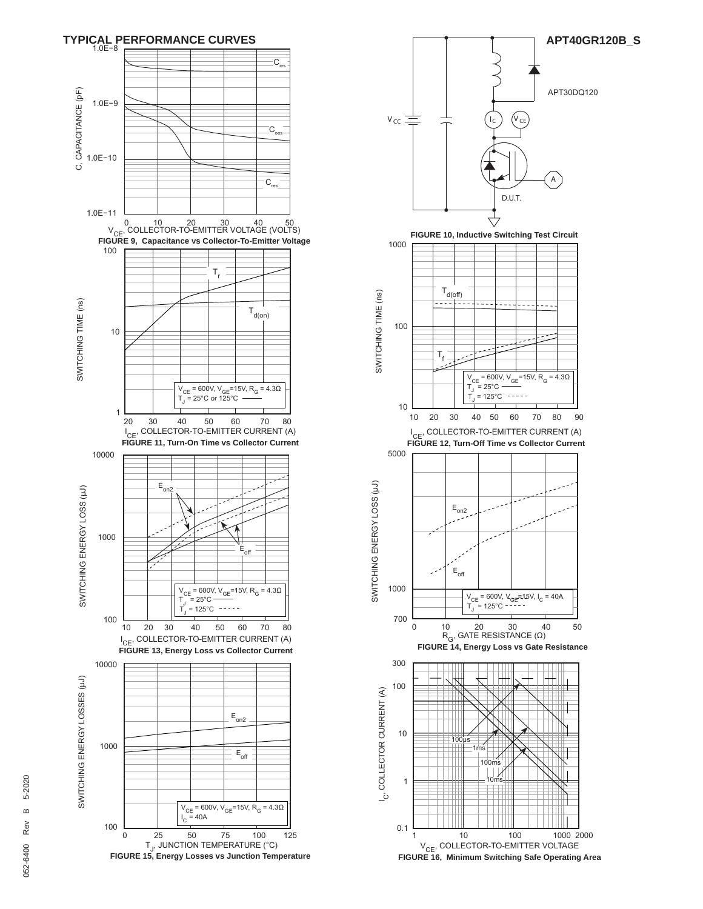

![](_page_3_Figure_1.jpeg)

5-2020 052-6400 Rev B 5-2020 $\omega$ Rev 052-6400